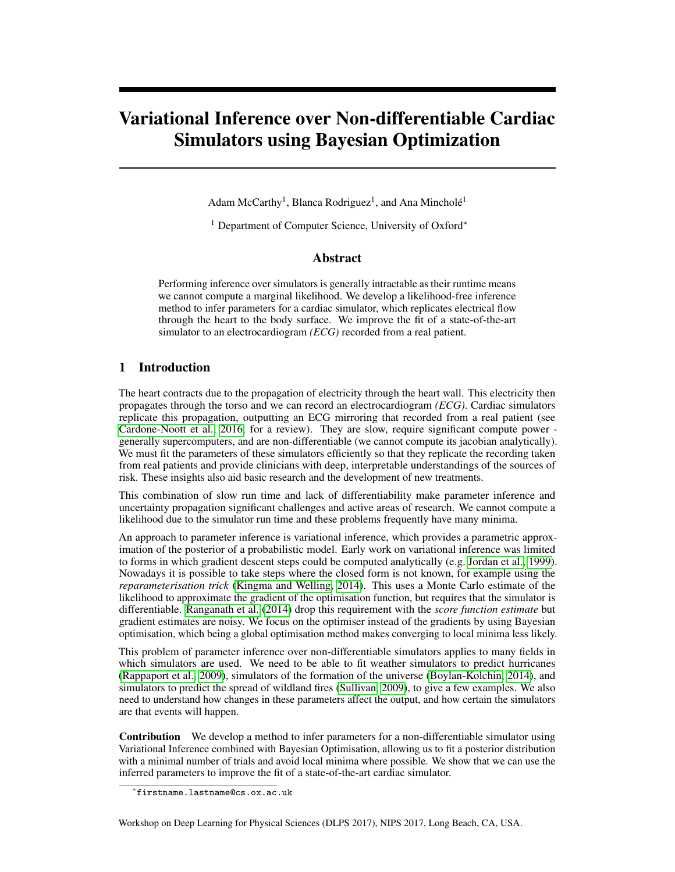# Variational Inference over Non-differentiable Cardiac Simulators using Bayesian Optimization

Adam McCarthy<sup>1</sup>, Blanca Rodriguez<sup>1</sup>, and Ana Mincholé<sup>1</sup>

<sup>1</sup> Department of Computer Science, University of Oxford<sup>∗</sup>

#### Abstract

Performing inference over simulators is generally intractable as their runtime means we cannot compute a marginal likelihood. We develop a likelihood-free inference method to infer parameters for a cardiac simulator, which replicates electrical flow through the heart to the body surface. We improve the fit of a state-of-the-art simulator to an electrocardiogram *(ECG)* recorded from a real patient.

### 1 Introduction

The heart contracts due to the propagation of electricity through the heart wall. This electricity then propagates through the torso and we can record an electrocardiogram *(ECG)*. Cardiac simulators replicate this propagation, outputting an ECG mirroring that recorded from a real patient (see [Cardone-Noott et al., 2016,](#page-5-0) for a review). They are slow, require significant compute power generally supercomputers, and are non-differentiable (we cannot compute its jacobian analytically). We must fit the parameters of these simulators efficiently so that they replicate the recording taken from real patients and provide clinicians with deep, interpretable understandings of the sources of risk. These insights also aid basic research and the development of new treatments.

This combination of slow run time and lack of differentiability make parameter inference and uncertainty propagation significant challenges and active areas of research. We cannot compute a likelihood due to the simulator run time and these problems frequently have many minima.

An approach to parameter inference is variational inference, which provides a parametric approximation of the posterior of a probabilistic model. Early work on variational inference was limited to forms in which gradient descent steps could be computed analytically (e.g. [Jordan et al., 1999\)](#page-5-1). Nowadays it is possible to take steps where the closed form is not known, for example using the *reparameterisation trick* [\(Kingma and Welling, 2014\)](#page-5-2). This uses a Monte Carlo estimate of the likelihood to approximate the gradient of the optimisation function, but requires that the simulator is differentiable. [Ranganath et al.](#page-5-3) [\(2014\)](#page-5-3) drop this requirement with the *score function estimate* but gradient estimates are noisy. We focus on the optimiser instead of the gradients by using Bayesian optimisation, which being a global optimisation method makes converging to local minima less likely.

This problem of parameter inference over non-differentiable simulators applies to many fields in which simulators are used. We need to be able to fit weather simulators to predict hurricanes [\(Rappaport et al., 2009\)](#page-6-0), simulators of the formation of the universe [\(Boylan-Kolchin, 2014\)](#page-5-4), and simulators to predict the spread of wildland fires [\(Sullivan, 2009\)](#page-6-1), to give a few examples. We also need to understand how changes in these parameters affect the output, and how certain the simulators are that events will happen.

Contribution We develop a method to infer parameters for a non-differentiable simulator using Variational Inference combined with Bayesian Optimisation, allowing us to fit a posterior distribution with a minimal number of trials and avoid local minima where possible. We show that we can use the inferred parameters to improve the fit of a state-of-the-art cardiac simulator.

Workshop on Deep Learning for Physical Sciences (DLPS 2017), NIPS 2017, Long Beach, CA, USA.

<sup>∗</sup> firstname.lastname@cs.ox.ac.uk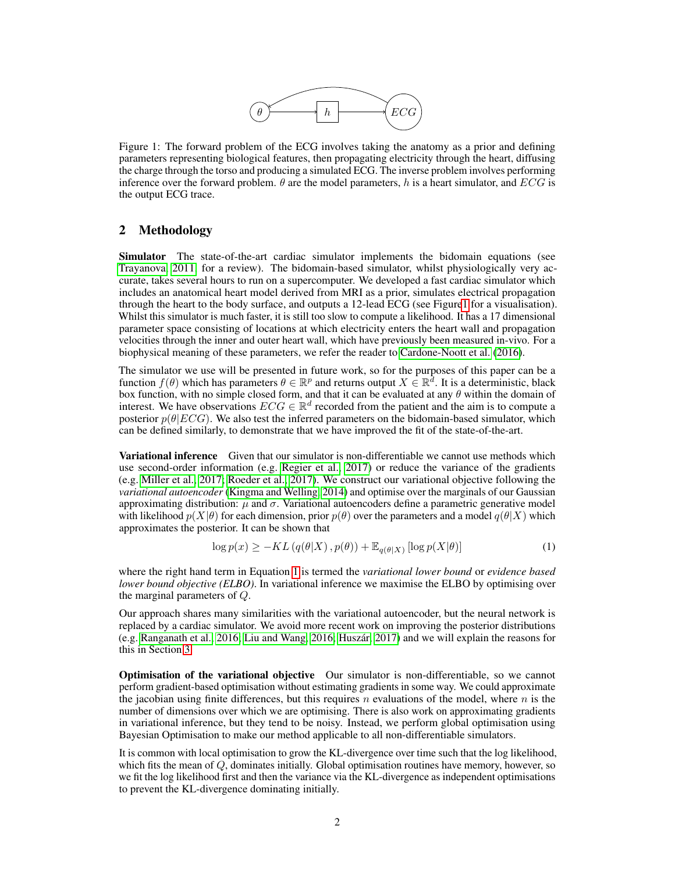<span id="page-1-0"></span>

Figure 1: The forward problem of the ECG involves taking the anatomy as a prior and defining parameters representing biological features, then propagating electricity through the heart, diffusing the charge through the torso and producing a simulated ECG. The inverse problem involves performing inference over the forward problem.  $\theta$  are the model parameters, h is a heart simulator, and ECG is the output ECG trace.

# 2 Methodology

Simulator The state-of-the-art cardiac simulator implements the bidomain equations (see [Trayanova, 2011,](#page-6-2) for a review). The bidomain-based simulator, whilst physiologically very accurate, takes several hours to run on a supercomputer. We developed a fast cardiac simulator which includes an anatomical heart model derived from MRI as a prior, simulates electrical propagation through the heart to the body surface, and outputs a 12-lead ECG (see Figur[e1](#page-1-0) for a visualisation). Whilst this simulator is much faster, it is still too slow to compute a likelihood. It has a 17 dimensional parameter space consisting of locations at which electricity enters the heart wall and propagation velocities through the inner and outer heart wall, which have previously been measured in-vivo. For a biophysical meaning of these parameters, we refer the reader to [Cardone-Noott et al.](#page-5-0) [\(2016\)](#page-5-0).

The simulator we use will be presented in future work, so for the purposes of this paper can be a function  $f(\theta)$  which has parameters  $\theta \in \mathbb{R}^p$  and returns output  $X \in \mathbb{R}^d$ . It is a deterministic, black box function, with no simple closed form, and that it can be evaluated at any  $\theta$  within the domain of interest. We have observations  $ECG \in \mathbb{R}^d$  recorded from the patient and the aim is to compute a posterior  $p(\theta|ECG)$ . We also test the inferred parameters on the bidomain-based simulator, which can be defined similarly, to demonstrate that we have improved the fit of the state-of-the-art.

Variational inference Given that our simulator is non-differentiable we cannot use methods which use second-order information (e.g. [Regier et al., 2017\)](#page-6-3) or reduce the variance of the gradients (e.g. [Miller et al., 2017;](#page-5-5) [Roeder et al., 2017\)](#page-6-4). We construct our variational objective following the *variational autoencoder* [\(Kingma and Welling, 2014\)](#page-5-2) and optimise over the marginals of our Gaussian approximating distribution:  $\mu$  and  $\sigma$ . Variational autoencoders define a parametric generative model with likelihood  $p(X|\theta)$  for each dimension, prior  $p(\theta)$  over the parameters and a model  $q(\theta|X)$  which approximates the posterior. It can be shown that

<span id="page-1-1"></span>
$$
\log p(x) \ge -KL\left(q(\theta|X), p(\theta)\right) + \mathbb{E}_{q(\theta|X)}\left[\log p(X|\theta)\right] \tag{1}
$$

where the right hand term in Equation [1](#page-1-1) is termed the *variational lower bound* or *evidence based lower bound objective (ELBO)*. In variational inference we maximise the ELBO by optimising over the marginal parameters of Q.

Our approach shares many similarities with the variational autoencoder, but the neural network is replaced by a cardiac simulator. We avoid more recent work on improving the posterior distributions (e.g. [Ranganath et al., 2016;](#page-6-5) [Liu and Wang, 2016;](#page-5-6) [Huszár, 2017\)](#page-5-7) and we will explain the reasons for this in Section [3.](#page-2-0)

Optimisation of the variational objective Our simulator is non-differentiable, so we cannot perform gradient-based optimisation without estimating gradients in some way. We could approximate the jacobian using finite differences, but this requires n evaluations of the model, where  $n$  is the number of dimensions over which we are optimising. There is also work on approximating gradients in variational inference, but they tend to be noisy. Instead, we perform global optimisation using Bayesian Optimisation to make our method applicable to all non-differentiable simulators.

It is common with local optimisation to grow the KL-divergence over time such that the log likelihood, which fits the mean of  $Q$ , dominates initially. Global optimisation routines have memory, however, so we fit the log likelihood first and then the variance via the KL-divergence as independent optimisations to prevent the KL-divergence dominating initially.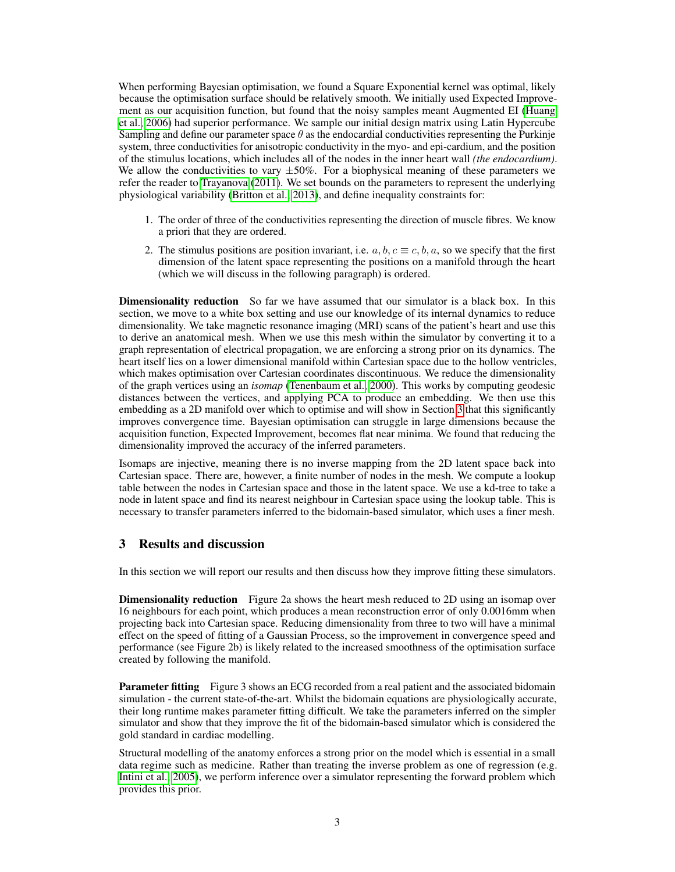When performing Bayesian optimisation, we found a Square Exponential kernel was optimal, likely because the optimisation surface should be relatively smooth. We initially used Expected Improvement as our acquisition function, but found that the noisy samples meant Augmented EI [\(Huang](#page-5-8) [et al., 2006\)](#page-5-8) had superior performance. We sample our initial design matrix using Latin Hypercube Sampling and define our parameter space  $\theta$  as the endocardial conductivities representing the Purkinje system, three conductivities for anisotropic conductivity in the myo- and epi-cardium, and the position of the stimulus locations, which includes all of the nodes in the inner heart wall *(the endocardium)*. We allow the conductivities to vary  $\pm 50\%$ . For a biophysical meaning of these parameters we refer the reader to [Trayanova](#page-6-2) [\(2011\)](#page-6-2). We set bounds on the parameters to represent the underlying physiological variability [\(Britton et al., 2013\)](#page-5-9), and define inequality constraints for:

- 1. The order of three of the conductivities representing the direction of muscle fibres. We know a priori that they are ordered.
- 2. The stimulus positions are position invariant, i.e.  $a, b, c \equiv c, b, a$ , so we specify that the first dimension of the latent space representing the positions on a manifold through the heart (which we will discuss in the following paragraph) is ordered.

Dimensionality reduction So far we have assumed that our simulator is a black box. In this section, we move to a white box setting and use our knowledge of its internal dynamics to reduce dimensionality. We take magnetic resonance imaging (MRI) scans of the patient's heart and use this to derive an anatomical mesh. When we use this mesh within the simulator by converting it to a graph representation of electrical propagation, we are enforcing a strong prior on its dynamics. The heart itself lies on a lower dimensional manifold within Cartesian space due to the hollow ventricles, which makes optimisation over Cartesian coordinates discontinuous. We reduce the dimensionality of the graph vertices using an *isomap* [\(Tenenbaum et al., 2000\)](#page-6-6). This works by computing geodesic distances between the vertices, and applying PCA to produce an embedding. We then use this embedding as a 2D manifold over which to optimise and will show in Section [3](#page-2-0) that this significantly improves convergence time. Bayesian optimisation can struggle in large dimensions because the acquisition function, Expected Improvement, becomes flat near minima. We found that reducing the dimensionality improved the accuracy of the inferred parameters.

Isomaps are injective, meaning there is no inverse mapping from the 2D latent space back into Cartesian space. There are, however, a finite number of nodes in the mesh. We compute a lookup table between the nodes in Cartesian space and those in the latent space. We use a kd-tree to take a node in latent space and find its nearest neighbour in Cartesian space using the lookup table. This is necessary to transfer parameters inferred to the bidomain-based simulator, which uses a finer mesh.

## <span id="page-2-0"></span>3 Results and discussion

In this section we will report our results and then discuss how they improve fitting these simulators.

**Dimensionality reduction** Figure 2a shows the heart mesh reduced to 2D using an isomap over 16 neighbours for each point, which produces a mean reconstruction error of only 0.0016mm when projecting back into Cartesian space. Reducing dimensionality from three to two will have a minimal effect on the speed of fitting of a Gaussian Process, so the improvement in convergence speed and performance (see Figure 2b) is likely related to the increased smoothness of the optimisation surface created by following the manifold.

**Parameter fitting** Figure 3 shows an ECG recorded from a real patient and the associated bidomain simulation - the current state-of-the-art. Whilst the bidomain equations are physiologically accurate, their long runtime makes parameter fitting difficult. We take the parameters inferred on the simpler simulator and show that they improve the fit of the bidomain-based simulator which is considered the gold standard in cardiac modelling.

Structural modelling of the anatomy enforces a strong prior on the model which is essential in a small data regime such as medicine. Rather than treating the inverse problem as one of regression (e.g. [Intini et al., 2005\)](#page-5-10), we perform inference over a simulator representing the forward problem which provides this prior.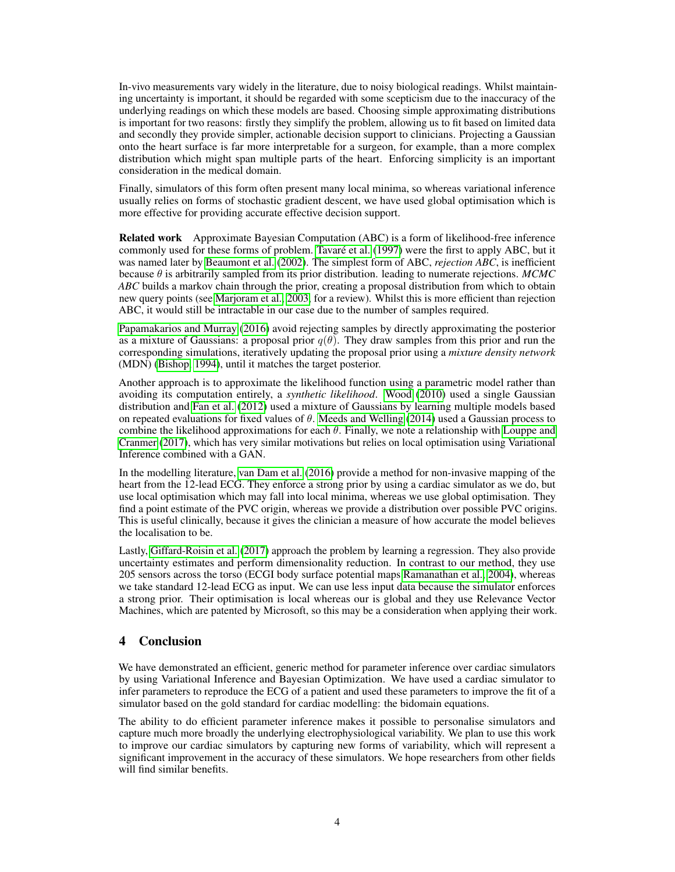In-vivo measurements vary widely in the literature, due to noisy biological readings. Whilst maintaining uncertainty is important, it should be regarded with some scepticism due to the inaccuracy of the underlying readings on which these models are based. Choosing simple approximating distributions is important for two reasons: firstly they simplify the problem, allowing us to fit based on limited data and secondly they provide simpler, actionable decision support to clinicians. Projecting a Gaussian onto the heart surface is far more interpretable for a surgeon, for example, than a more complex distribution which might span multiple parts of the heart. Enforcing simplicity is an important consideration in the medical domain.

Finally, simulators of this form often present many local minima, so whereas variational inference usually relies on forms of stochastic gradient descent, we have used global optimisation which is more effective for providing accurate effective decision support.

Related work Approximate Bayesian Computation (ABC) is a form of likelihood-free inference commonly used for these forms of problem. [Tavaré et al.](#page-6-7) [\(1997\)](#page-6-7) were the first to apply ABC, but it was named later by [Beaumont et al.](#page-5-11) [\(2002\)](#page-5-11). The simplest form of ABC, *rejection ABC*, is inefficient because θ is arbitrarily sampled from its prior distribution. leading to numerate rejections. *MCMC ABC* builds a markov chain through the prior, creating a proposal distribution from which to obtain new query points (see [Marjoram et al., 2003,](#page-5-12) for a review). Whilst this is more efficient than rejection ABC, it would still be intractable in our case due to the number of samples required.

[Papamakarios and Murray](#page-5-13) [\(2016\)](#page-5-13) avoid rejecting samples by directly approximating the posterior as a mixture of Gaussians: a proposal prior  $q(\theta)$ . They draw samples from this prior and run the corresponding simulations, iteratively updating the proposal prior using a *mixture density network* (MDN) [\(Bishop, 1994\)](#page-5-14), until it matches the target posterior.

Another approach is to approximate the likelihood function using a parametric model rather than avoiding its computation entirely, a *synthetic likelihood*. [Wood](#page-6-8) [\(2010\)](#page-6-8) used a single Gaussian distribution and [Fan et al.](#page-5-15) [\(2012\)](#page-5-15) used a mixture of Gaussians by learning multiple models based on repeated evaluations for fixed values of  $\theta$ . [Meeds and Welling](#page-5-16) [\(2014\)](#page-5-16) used a Gaussian process to combine the likelihood approximations for each  $\theta$ . Finally, we note a relationship with [Louppe and](#page-5-17) [Cranmer](#page-5-17) [\(2017\)](#page-5-17), which has very similar motivations but relies on local optimisation using Variational Inference combined with a GAN.

In the modelling literature, [van Dam et al.](#page-6-9) [\(2016\)](#page-6-9) provide a method for non-invasive mapping of the heart from the 12-lead ECG. They enforce a strong prior by using a cardiac simulator as we do, but use local optimisation which may fall into local minima, whereas we use global optimisation. They find a point estimate of the PVC origin, whereas we provide a distribution over possible PVC origins. This is useful clinically, because it gives the clinician a measure of how accurate the model believes the localisation to be.

Lastly, [Giffard-Roisin et al.](#page-5-18) [\(2017\)](#page-5-18) approach the problem by learning a regression. They also provide uncertainty estimates and perform dimensionality reduction. In contrast to our method, they use 205 sensors across the torso (ECGI body surface potential maps [Ramanathan et al., 2004\)](#page-5-19), whereas we take standard 12-lead ECG as input. We can use less input data because the simulator enforces a strong prior. Their optimisation is local whereas our is global and they use Relevance Vector Machines, which are patented by Microsoft, so this may be a consideration when applying their work.

# 4 Conclusion

We have demonstrated an efficient, generic method for parameter inference over cardiac simulators by using Variational Inference and Bayesian Optimization. We have used a cardiac simulator to infer parameters to reproduce the ECG of a patient and used these parameters to improve the fit of a simulator based on the gold standard for cardiac modelling: the bidomain equations.

The ability to do efficient parameter inference makes it possible to personalise simulators and capture much more broadly the underlying electrophysiological variability. We plan to use this work to improve our cardiac simulators by capturing new forms of variability, which will represent a significant improvement in the accuracy of these simulators. We hope researchers from other fields will find similar benefits.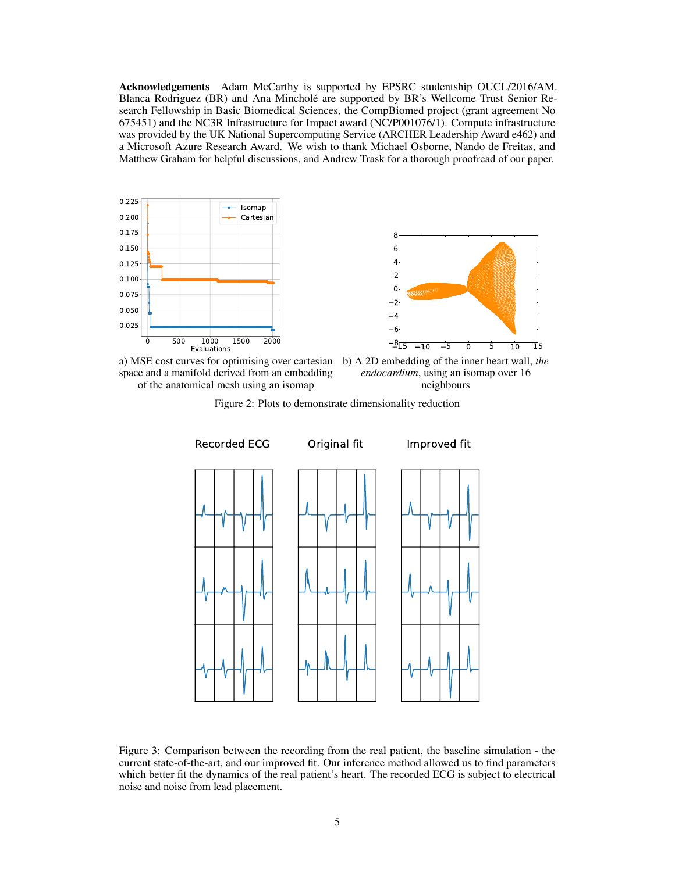Acknowledgements Adam McCarthy is supported by EPSRC studentship OUCL/2016/AM. Blanca Rodriguez (BR) and Ana Mincholé are supported by BR's Wellcome Trust Senior Research Fellowship in Basic Biomedical Sciences, the CompBiomed project (grant agreement No 675451) and the NC3R Infrastructure for Impact award (NC/P001076/1). Compute infrastructure was provided by the UK National Supercomputing Service (ARCHER Leadership Award e462) and a Microsoft Azure Research Award. We wish to thank Michael Osborne, Nando de Freitas, and Matthew Graham for helpful discussions, and Andrew Trask for a thorough proofread of our paper.









Figure 2: Plots to demonstrate dimensionality reduction



Figure 3: Comparison between the recording from the real patient, the baseline simulation - the current state-of-the-art, and our improved fit. Our inference method allowed us to find parameters which better fit the dynamics of the real patient's heart. The recorded ECG is subject to electrical noise and noise from lead placement.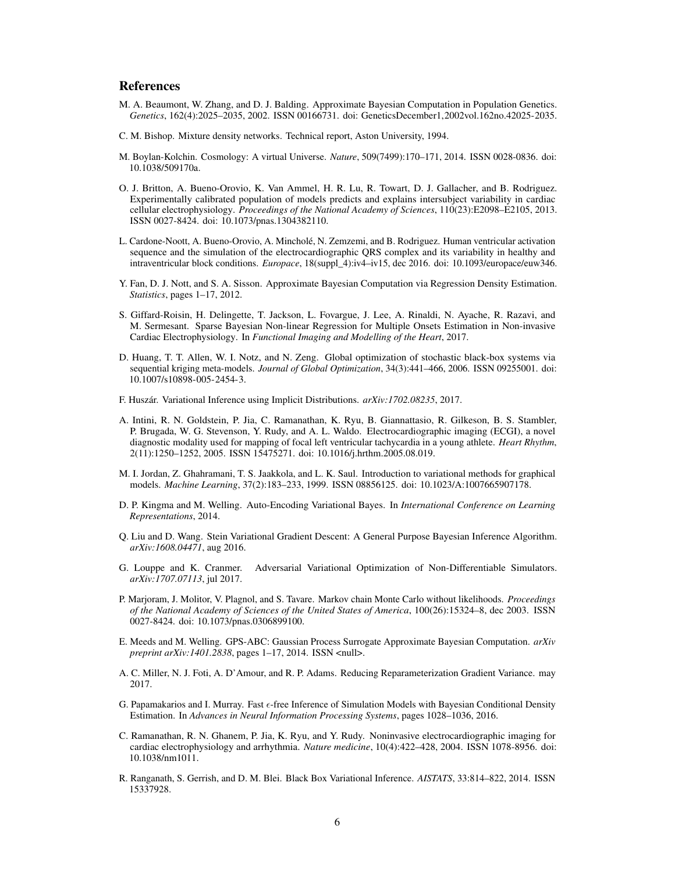### References

- <span id="page-5-11"></span>M. A. Beaumont, W. Zhang, and D. J. Balding. Approximate Bayesian Computation in Population Genetics. *Genetics*, 162(4):2025–2035, 2002. ISSN 00166731. doi: GeneticsDecember1,2002vol.162no.42025-2035.
- <span id="page-5-14"></span>C. M. Bishop. Mixture density networks. Technical report, Aston University, 1994.
- <span id="page-5-4"></span>M. Boylan-Kolchin. Cosmology: A virtual Universe. *Nature*, 509(7499):170–171, 2014. ISSN 0028-0836. doi: 10.1038/509170a.
- <span id="page-5-9"></span>O. J. Britton, A. Bueno-Orovio, K. Van Ammel, H. R. Lu, R. Towart, D. J. Gallacher, and B. Rodriguez. Experimentally calibrated population of models predicts and explains intersubject variability in cardiac cellular electrophysiology. *Proceedings of the National Academy of Sciences*, 110(23):E2098–E2105, 2013. ISSN 0027-8424. doi: 10.1073/pnas.1304382110.
- <span id="page-5-0"></span>L. Cardone-Noott, A. Bueno-Orovio, A. Mincholé, N. Zemzemi, and B. Rodriguez. Human ventricular activation sequence and the simulation of the electrocardiographic QRS complex and its variability in healthy and intraventricular block conditions. *Europace*, 18(suppl\_4):iv4–iv15, dec 2016. doi: 10.1093/europace/euw346.
- <span id="page-5-15"></span>Y. Fan, D. J. Nott, and S. A. Sisson. Approximate Bayesian Computation via Regression Density Estimation. *Statistics*, pages 1–17, 2012.
- <span id="page-5-18"></span>S. Giffard-Roisin, H. Delingette, T. Jackson, L. Fovargue, J. Lee, A. Rinaldi, N. Ayache, R. Razavi, and M. Sermesant. Sparse Bayesian Non-linear Regression for Multiple Onsets Estimation in Non-invasive Cardiac Electrophysiology. In *Functional Imaging and Modelling of the Heart*, 2017.
- <span id="page-5-8"></span>D. Huang, T. T. Allen, W. I. Notz, and N. Zeng. Global optimization of stochastic black-box systems via sequential kriging meta-models. *Journal of Global Optimization*, 34(3):441–466, 2006. ISSN 09255001. doi: 10.1007/s10898-005-2454-3.
- <span id="page-5-7"></span>F. Huszár. Variational Inference using Implicit Distributions. *arXiv:1702.08235*, 2017.
- <span id="page-5-10"></span>A. Intini, R. N. Goldstein, P. Jia, C. Ramanathan, K. Ryu, B. Giannattasio, R. Gilkeson, B. S. Stambler, P. Brugada, W. G. Stevenson, Y. Rudy, and A. L. Waldo. Electrocardiographic imaging (ECGI), a novel diagnostic modality used for mapping of focal left ventricular tachycardia in a young athlete. *Heart Rhythm*, 2(11):1250–1252, 2005. ISSN 15475271. doi: 10.1016/j.hrthm.2005.08.019.
- <span id="page-5-1"></span>M. I. Jordan, Z. Ghahramani, T. S. Jaakkola, and L. K. Saul. Introduction to variational methods for graphical models. *Machine Learning*, 37(2):183–233, 1999. ISSN 08856125. doi: 10.1023/A:1007665907178.
- <span id="page-5-2"></span>D. P. Kingma and M. Welling. Auto-Encoding Variational Bayes. In *International Conference on Learning Representations*, 2014.
- <span id="page-5-6"></span>Q. Liu and D. Wang. Stein Variational Gradient Descent: A General Purpose Bayesian Inference Algorithm. *arXiv:1608.04471*, aug 2016.
- <span id="page-5-17"></span>G. Louppe and K. Cranmer. Adversarial Variational Optimization of Non-Differentiable Simulators. *arXiv:1707.07113*, jul 2017.
- <span id="page-5-12"></span>P. Marjoram, J. Molitor, V. Plagnol, and S. Tavare. Markov chain Monte Carlo without likelihoods. *Proceedings of the National Academy of Sciences of the United States of America*, 100(26):15324–8, dec 2003. ISSN 0027-8424. doi: 10.1073/pnas.0306899100.
- <span id="page-5-16"></span>E. Meeds and M. Welling. GPS-ABC: Gaussian Process Surrogate Approximate Bayesian Computation. *arXiv preprint arXiv:1401.2838*, pages 1–17, 2014. ISSN <null>.
- <span id="page-5-5"></span>A. C. Miller, N. J. Foti, A. D'Amour, and R. P. Adams. Reducing Reparameterization Gradient Variance. may 2017.
- <span id="page-5-13"></span>G. Papamakarios and I. Murray. Fast e-free Inference of Simulation Models with Bayesian Conditional Density Estimation. In *Advances in Neural Information Processing Systems*, pages 1028–1036, 2016.
- <span id="page-5-19"></span>C. Ramanathan, R. N. Ghanem, P. Jia, K. Ryu, and Y. Rudy. Noninvasive electrocardiographic imaging for cardiac electrophysiology and arrhythmia. *Nature medicine*, 10(4):422–428, 2004. ISSN 1078-8956. doi: 10.1038/nm1011.
- <span id="page-5-3"></span>R. Ranganath, S. Gerrish, and D. M. Blei. Black Box Variational Inference. *AISTATS*, 33:814–822, 2014. ISSN 15337928.